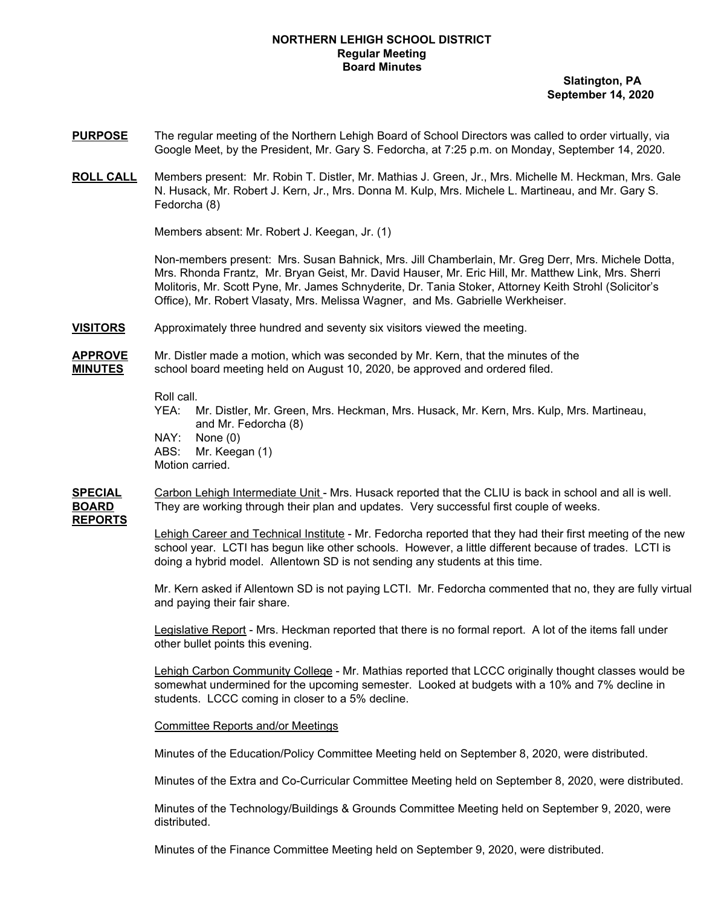#### **NORTHERN LEHIGH SCHOOL DISTRICT Regular Meeting Board Minutes**

**Slatington, PA September 14, 2020**

- **PURPOSE** The regular meeting of the Northern Lehigh Board of School Directors was called to order virtually, via Google Meet, by the President, Mr. Gary S. Fedorcha, at 7:25 p.m. on Monday, September 14, 2020.
- **ROLL CALL** Members present: Mr. Robin T. Distler, Mr. Mathias J. Green, Jr., Mrs. Michelle M. Heckman, Mrs. Gale N. Husack, Mr. Robert J. Kern, Jr., Mrs. Donna M. Kulp, Mrs. Michele L. Martineau, and Mr. Gary S. Fedorcha (8)

Members absent: Mr. Robert J. Keegan, Jr. (1)

Non-members present: Mrs. Susan Bahnick, Mrs. Jill Chamberlain, Mr. Greg Derr, Mrs. Michele Dotta, Mrs. Rhonda Frantz, Mr. Bryan Geist, Mr. David Hauser, Mr. Eric Hill, Mr. Matthew Link, Mrs. Sherri Molitoris, Mr. Scott Pyne, Mr. James Schnyderite, Dr. Tania Stoker, Attorney Keith Strohl (Solicitor's Office), Mr. Robert Vlasaty, Mrs. Melissa Wagner, and Ms. Gabrielle Werkheiser.

**VISITORS** Approximately three hundred and seventy six visitors viewed the meeting.

**APPROVE** Mr. Distler made a motion, which was seconded by Mr. Kern, that the minutes of the **MINUTES** school board meeting held on August 10, 2020, be approved and ordered filed.

Roll call.

YEA: Mr. Distler, Mr. Green, Mrs. Heckman, Mrs. Husack, Mr. Kern, Mrs. Kulp, Mrs. Martineau, and Mr. Fedorcha (8) NAY: None (0)

ABS: Mr. Keegan (1)

Motion carried.

**SPECIAL** Carbon Lehigh Intermediate Unit - Mrs. Husack reported that the CLIU is back in school and all is well. **BOARD** They are working through their plan and updates. Very successful first couple of weeks.

**REPORTS**

Lehigh Career and Technical Institute - Mr. Fedorcha reported that they had their first meeting of the new school year. LCTI has begun like other schools. However, a little different because of trades. LCTI is doing a hybrid model. Allentown SD is not sending any students at this time.

Mr. Kern asked if Allentown SD is not paying LCTI. Mr. Fedorcha commented that no, they are fully virtual and paying their fair share.

Legislative Report - Mrs. Heckman reported that there is no formal report. A lot of the items fall under other bullet points this evening.

Lehigh Carbon Community College - Mr. Mathias reported that LCCC originally thought classes would be somewhat undermined for the upcoming semester. Looked at budgets with a 10% and 7% decline in students. LCCC coming in closer to a 5% decline.

Committee Reports and/or Meetings

Minutes of the Education/Policy Committee Meeting held on September 8, 2020, were distributed.

Minutes of the Extra and Co-Curricular Committee Meeting held on September 8, 2020, were distributed.

Minutes of the Technology/Buildings & Grounds Committee Meeting held on September 9, 2020, were distributed.

Minutes of the Finance Committee Meeting held on September 9, 2020, were distributed.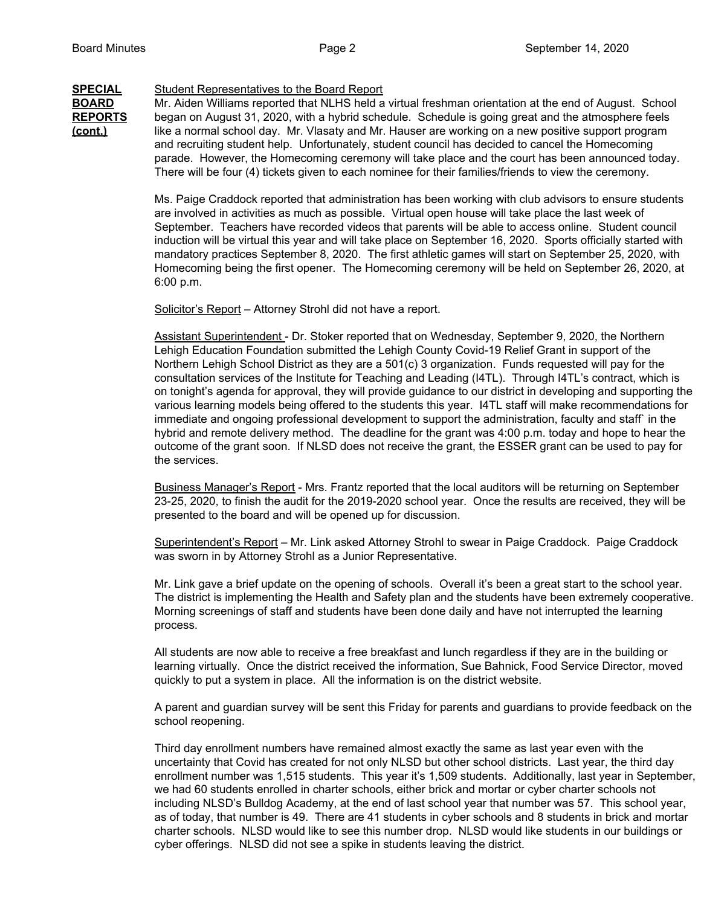#### **SPECIAL** Student Representatives to the Board Report

BOARD Mr. Aiden Williams reported that NLHS held a virtual freshman orientation at the end of August. School **REPORTS** began on August 31, 2020, with a hybrid schedule. Schedule is going great and the atmosphere feels **(cont.)** like a normal school day. Mr. Vlasaty and Mr. Hauser are working on a new positive support program and recruiting student help. Unfortunately, student council has decided to cancel the Homecoming parade. However, the Homecoming ceremony will take place and the court has been announced today. There will be four (4) tickets given to each nominee for their families/friends to view the ceremony.

> Ms. Paige Craddock reported that administration has been working with club advisors to ensure students are involved in activities as much as possible. Virtual open house will take place the last week of September. Teachers have recorded videos that parents will be able to access online. Student council induction will be virtual this year and will take place on September 16, 2020. Sports officially started with mandatory practices September 8, 2020. The first athletic games will start on September 25, 2020, with Homecoming being the first opener. The Homecoming ceremony will be held on September 26, 2020, at 6:00 p.m.

Solicitor's Report – Attorney Strohl did not have a report.

Assistant Superintendent - Dr. Stoker reported that on Wednesday, September 9, 2020, the Northern Lehigh Education Foundation submitted the Lehigh County Covid-19 Relief Grant in support of the Northern Lehigh School District as they are a 501(c) 3 organization. Funds requested will pay for the consultation services of the Institute for Teaching and Leading (I4TL). Through I4TL's contract, which is on tonight's agenda for approval, they will provide guidance to our district in developing and supporting the various learning models being offered to the students this year. I4TL staff will make recommendations for immediate and ongoing professional development to support the administration, faculty and staff` in the hybrid and remote delivery method. The deadline for the grant was 4:00 p.m. today and hope to hear the outcome of the grant soon. If NLSD does not receive the grant, the ESSER grant can be used to pay for the services.

Business Manager's Report - Mrs. Frantz reported that the local auditors will be returning on September 23-25, 2020, to finish the audit for the 2019-2020 school year. Once the results are received, they will be presented to the board and will be opened up for discussion.

Superintendent's Report – Mr. Link asked Attorney Strohl to swear in Paige Craddock. Paige Craddock was sworn in by Attorney Strohl as a Junior Representative.

Mr. Link gave a brief update on the opening of schools. Overall it's been a great start to the school year. The district is implementing the Health and Safety plan and the students have been extremely cooperative. Morning screenings of staff and students have been done daily and have not interrupted the learning process.

All students are now able to receive a free breakfast and lunch regardless if they are in the building or learning virtually. Once the district received the information, Sue Bahnick, Food Service Director, moved quickly to put a system in place. All the information is on the district website.

A parent and guardian survey will be sent this Friday for parents and guardians to provide feedback on the school reopening.

Third day enrollment numbers have remained almost exactly the same as last year even with the uncertainty that Covid has created for not only NLSD but other school districts. Last year, the third day enrollment number was 1,515 students. This year it's 1,509 students. Additionally, last year in September, we had 60 students enrolled in charter schools, either brick and mortar or cyber charter schools not including NLSD's Bulldog Academy, at the end of last school year that number was 57. This school year, as of today, that number is 49. There are 41 students in cyber schools and 8 students in brick and mortar charter schools. NLSD would like to see this number drop. NLSD would like students in our buildings or cyber offerings. NLSD did not see a spike in students leaving the district.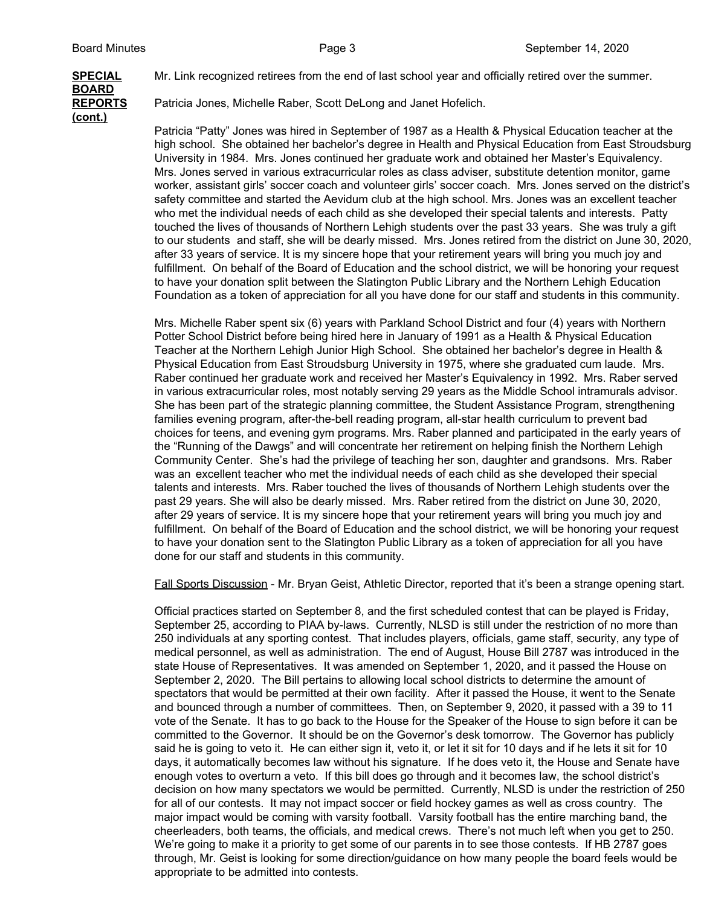# **BOARD (cont.)**

**SPECIAL** Mr. Link recognized retirees from the end of last school year and officially retired over the summer.

**REPORTS** Patricia Jones, Michelle Raber, Scott DeLong and Janet Hofelich.

Patricia "Patty" Jones was hired in September of 1987 as a Health & Physical Education teacher at the high school. She obtained her bachelor's degree in Health and Physical Education from East Stroudsburg University in 1984. Mrs. Jones continued her graduate work and obtained her Master's Equivalency. Mrs. Jones served in various extracurricular roles as class adviser, substitute detention monitor, game worker, assistant girls' soccer coach and volunteer girls' soccer coach. Mrs. Jones served on the district's safety committee and started the Aevidum club at the high school. Mrs. Jones was an excellent teacher who met the individual needs of each child as she developed their special talents and interests. Patty touched the lives of thousands of Northern Lehigh students over the past 33 years. She was truly a gift to our students and staff, she will be dearly missed. Mrs. Jones retired from the district on June 30, 2020, after 33 years of service. It is my sincere hope that your retirement years will bring you much joy and fulfillment. On behalf of the Board of Education and the school district, we will be honoring your request to have your donation split between the Slatington Public Library and the Northern Lehigh Education Foundation as a token of appreciation for all you have done for our staff and students in this community.

Mrs. Michelle Raber spent six (6) years with Parkland School District and four (4) years with Northern Potter School District before being hired here in January of 1991 as a Health & Physical Education Teacher at the Northern Lehigh Junior High School. She obtained her bachelor's degree in Health & Physical Education from East Stroudsburg University in 1975, where she graduated cum laude. Mrs. Raber continued her graduate work and received her Master's Equivalency in 1992. Mrs. Raber served in various extracurricular roles, most notably serving 29 years as the Middle School intramurals advisor. She has been part of the strategic planning committee, the Student Assistance Program, strengthening families evening program, after-the-bell reading program, all-star health curriculum to prevent bad choices for teens, and evening gym programs. Mrs. Raber planned and participated in the early years of the "Running of the Dawgs" and will concentrate her retirement on helping finish the Northern Lehigh Community Center. She's had the privilege of teaching her son, daughter and grandsons. Mrs. Raber was an excellent teacher who met the individual needs of each child as she developed their special talents and interests. Mrs. Raber touched the lives of thousands of Northern Lehigh students over the past 29 years. She will also be dearly missed. Mrs. Raber retired from the district on June 30, 2020, after 29 years of service. It is my sincere hope that your retirement years will bring you much joy and fulfillment. On behalf of the Board of Education and the school district, we will be honoring your request to have your donation sent to the Slatington Public Library as a token of appreciation for all you have done for our staff and students in this community.

Fall Sports Discussion - Mr. Bryan Geist, Athletic Director, reported that it's been a strange opening start.

Official practices started on September 8, and the first scheduled contest that can be played is Friday, September 25, according to PIAA by-laws. Currently, NLSD is still under the restriction of no more than 250 individuals at any sporting contest. That includes players, officials, game staff, security, any type of medical personnel, as well as administration. The end of August, House Bill 2787 was introduced in the state House of Representatives. It was amended on September 1, 2020, and it passed the House on September 2, 2020. The Bill pertains to allowing local school districts to determine the amount of spectators that would be permitted at their own facility. After it passed the House, it went to the Senate and bounced through a number of committees. Then, on September 9, 2020, it passed with a 39 to 11 vote of the Senate. It has to go back to the House for the Speaker of the House to sign before it can be committed to the Governor. It should be on the Governor's desk tomorrow. The Governor has publicly said he is going to veto it. He can either sign it, veto it, or let it sit for 10 days and if he lets it sit for 10 days, it automatically becomes law without his signature. If he does veto it, the House and Senate have enough votes to overturn a veto. If this bill does go through and it becomes law, the school district's decision on how many spectators we would be permitted. Currently, NLSD is under the restriction of 250 for all of our contests. It may not impact soccer or field hockey games as well as cross country. The major impact would be coming with varsity football. Varsity football has the entire marching band, the cheerleaders, both teams, the officials, and medical crews. There's not much left when you get to 250. We're going to make it a priority to get some of our parents in to see those contests. If HB 2787 goes through, Mr. Geist is looking for some direction/guidance on how many people the board feels would be appropriate to be admitted into contests.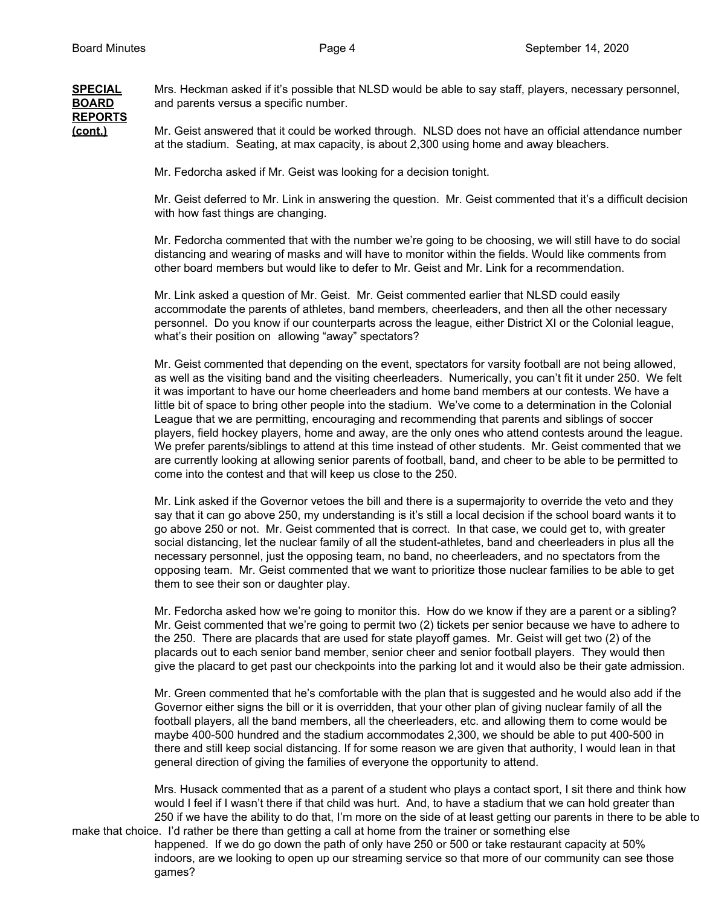**SPECIAL** Mrs. Heckman asked if it's possible that NLSD would be able to say staff, players, necessary personnel, **BOARD** and parents versus a specific number. **REPORTS (cont.)** Mr. Geist answered that it could be worked through. NLSD does not have an official attendance number at the stadium. Seating, at max capacity, is about 2,300 using home and away bleachers.

Mr. Fedorcha asked if Mr. Geist was looking for a decision tonight.

Mr. Geist deferred to Mr. Link in answering the question. Mr. Geist commented that it's a difficult decision with how fast things are changing.

Mr. Fedorcha commented that with the number we're going to be choosing, we will still have to do social distancing and wearing of masks and will have to monitor within the fields. Would like comments from other board members but would like to defer to Mr. Geist and Mr. Link for a recommendation.

Mr. Link asked a question of Mr. Geist. Mr. Geist commented earlier that NLSD could easily accommodate the parents of athletes, band members, cheerleaders, and then all the other necessary personnel. Do you know if our counterparts across the league, either District XI or the Colonial league, what's their position on allowing "away" spectators?

Mr. Geist commented that depending on the event, spectators for varsity football are not being allowed, as well as the visiting band and the visiting cheerleaders. Numerically, you can't fit it under 250. We felt it was important to have our home cheerleaders and home band members at our contests. We have a little bit of space to bring other people into the stadium. We've come to a determination in the Colonial League that we are permitting, encouraging and recommending that parents and siblings of soccer players, field hockey players, home and away, are the only ones who attend contests around the league. We prefer parents/siblings to attend at this time instead of other students. Mr. Geist commented that we are currently looking at allowing senior parents of football, band, and cheer to be able to be permitted to come into the contest and that will keep us close to the 250.

Mr. Link asked if the Governor vetoes the bill and there is a supermajority to override the veto and they say that it can go above 250, my understanding is it's still a local decision if the school board wants it to go above 250 or not. Mr. Geist commented that is correct. In that case, we could get to, with greater social distancing, let the nuclear family of all the student-athletes, band and cheerleaders in plus all the necessary personnel, just the opposing team, no band, no cheerleaders, and no spectators from the opposing team. Mr. Geist commented that we want to prioritize those nuclear families to be able to get them to see their son or daughter play.

Mr. Fedorcha asked how we're going to monitor this. How do we know if they are a parent or a sibling? Mr. Geist commented that we're going to permit two (2) tickets per senior because we have to adhere to the 250. There are placards that are used for state playoff games. Mr. Geist will get two (2) of the placards out to each senior band member, senior cheer and senior football players. They would then give the placard to get past our checkpoints into the parking lot and it would also be their gate admission.

Mr. Green commented that he's comfortable with the plan that is suggested and he would also add if the Governor either signs the bill or it is overridden, that your other plan of giving nuclear family of all the football players, all the band members, all the cheerleaders, etc. and allowing them to come would be maybe 400-500 hundred and the stadium accommodates 2,300, we should be able to put 400-500 in there and still keep social distancing. If for some reason we are given that authority, I would lean in that general direction of giving the families of everyone the opportunity to attend.

Mrs. Husack commented that as a parent of a student who plays a contact sport, I sit there and think how would I feel if I wasn't there if that child was hurt. And, to have a stadium that we can hold greater than 250 if we have the ability to do that, I'm more on the side of at least getting our parents in there to be able to make that choice. I'd rather be there than getting a call at home from the trainer or something else

happened. If we do go down the path of only have 250 or 500 or take restaurant capacity at 50% indoors, are we looking to open up our streaming service so that more of our community can see those games?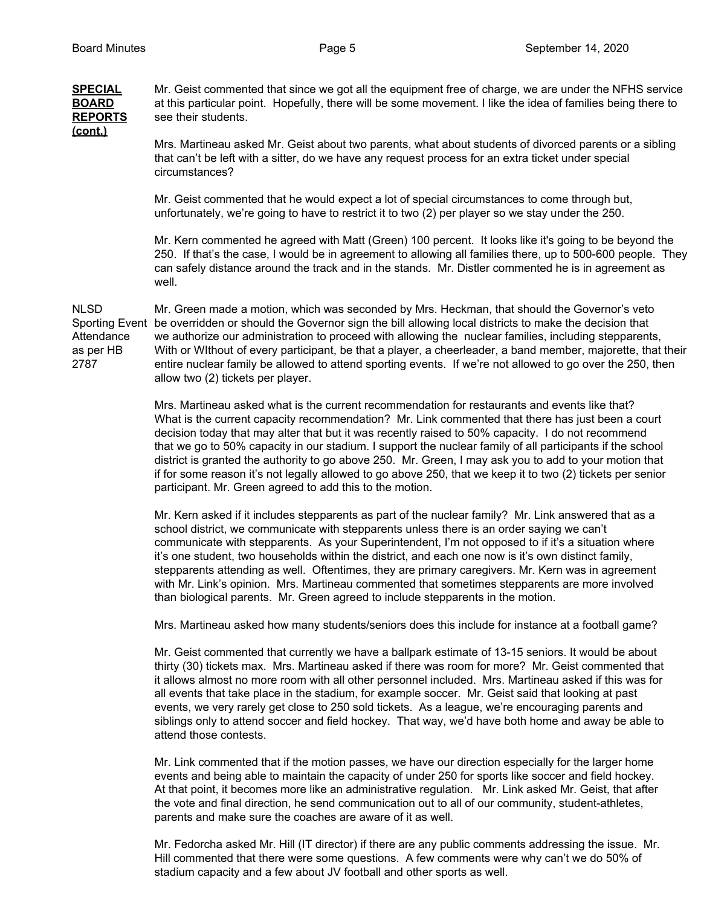**SPECIAL** Mr. Geist commented that since we got all the equipment free of charge, we are under the NFHS service **BOARD** at this particular point. Hopefully, there will be some movement. I like the idea of families being there to **REPORTS** see their students. **(cont.)**

> Mrs. Martineau asked Mr. Geist about two parents, what about students of divorced parents or a sibling that can't be left with a sitter, do we have any request process for an extra ticket under special circumstances?

Mr. Geist commented that he would expect a lot of special circumstances to come through but, unfortunately, we're going to have to restrict it to two (2) per player so we stay under the 250.

Mr. Kern commented he agreed with Matt (Green) 100 percent. It looks like it's going to be beyond the 250. If that's the case, I would be in agreement to allowing all families there, up to 500-600 people. They can safely distance around the track and in the stands. Mr. Distler commented he is in agreement as well.

NLSD Mr. Green made a motion, which was seconded by Mrs. Heckman, that should the Governor's veto Sporting Event be overridden or should the Governor sign the bill allowing local districts to make the decision that Attendance we authorize our administration to proceed with allowing the nuclear families, including stepparents, as per HB With or WIthout of every participant, be that a player, a cheerleader, a band member, majorette, that their 2787 entire nuclear family be allowed to attend sporting events. If we're not allowed to go over the 250, then allow two (2) tickets per player.

> Mrs. Martineau asked what is the current recommendation for restaurants and events like that? What is the current capacity recommendation? Mr. Link commented that there has just been a court decision today that may alter that but it was recently raised to 50% capacity. I do not recommend that we go to 50% capacity in our stadium. I support the nuclear family of all participants if the school district is granted the authority to go above 250. Mr. Green, I may ask you to add to your motion that if for some reason it's not legally allowed to go above 250, that we keep it to two (2) tickets per senior participant. Mr. Green agreed to add this to the motion.

Mr. Kern asked if it includes stepparents as part of the nuclear family? Mr. Link answered that as a school district, we communicate with stepparents unless there is an order saying we can't communicate with stepparents. As your Superintendent, I'm not opposed to if it's a situation where it's one student, two households within the district, and each one now is it's own distinct family, stepparents attending as well. Oftentimes, they are primary caregivers. Mr. Kern was in agreement with Mr. Link's opinion. Mrs. Martineau commented that sometimes stepparents are more involved than biological parents. Mr. Green agreed to include stepparents in the motion.

Mrs. Martineau asked how many students/seniors does this include for instance at a football game?

Mr. Geist commented that currently we have a ballpark estimate of 13-15 seniors. It would be about thirty (30) tickets max. Mrs. Martineau asked if there was room for more? Mr. Geist commented that it allows almost no more room with all other personnel included. Mrs. Martineau asked if this was for all events that take place in the stadium, for example soccer. Mr. Geist said that looking at past events, we very rarely get close to 250 sold tickets. As a league, we're encouraging parents and siblings only to attend soccer and field hockey. That way, we'd have both home and away be able to attend those contests.

Mr. Link commented that if the motion passes, we have our direction especially for the larger home events and being able to maintain the capacity of under 250 for sports like soccer and field hockey. At that point, it becomes more like an administrative regulation. Mr. Link asked Mr. Geist, that after the vote and final direction, he send communication out to all of our community, student-athletes, parents and make sure the coaches are aware of it as well.

Mr. Fedorcha asked Mr. Hill (IT director) if there are any public comments addressing the issue. Mr. Hill commented that there were some questions. A few comments were why can't we do 50% of stadium capacity and a few about JV football and other sports as well.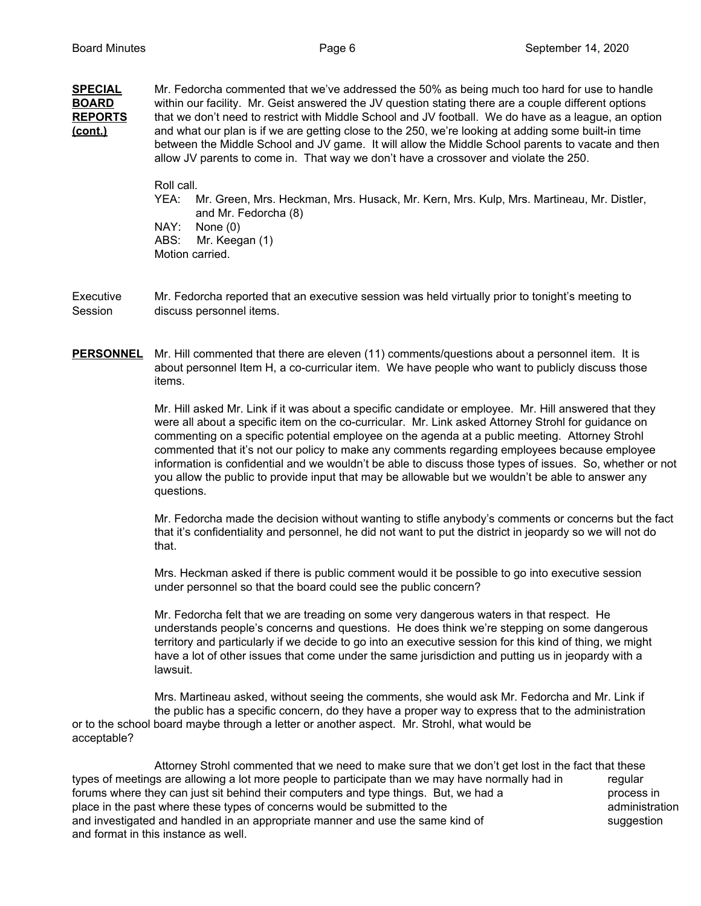| <b>SPECIAL</b><br><b>BOARD</b> | Mr. Fedorcha commented that we've addressed the 50% as being much too hard for use to handle<br>within our facility. Mr. Geist answered the JV question stating there are a couple different options                                                                                                                                                                                                     |  |
|--------------------------------|----------------------------------------------------------------------------------------------------------------------------------------------------------------------------------------------------------------------------------------------------------------------------------------------------------------------------------------------------------------------------------------------------------|--|
| <b>REPORTS</b><br>(cont.)      | that we don't need to restrict with Middle School and JV football. We do have as a league, an option<br>and what our plan is if we are getting close to the 250, we're looking at adding some built-in time<br>between the Middle School and JV game. It will allow the Middle School parents to vacate and then<br>allow JV parents to come in. That way we don't have a crossover and violate the 250. |  |
|                                | Roll call.                                                                                                                                                                                                                                                                                                                                                                                               |  |
|                                | Mr. Green, Mrs. Heckman, Mrs. Husack, Mr. Kern, Mrs. Kulp, Mrs. Martineau, Mr. Distler,<br>YEA:<br>and Mr. Fedorcha (8)                                                                                                                                                                                                                                                                                  |  |
|                                | NAY:<br>None $(0)$                                                                                                                                                                                                                                                                                                                                                                                       |  |
|                                | ABS:<br>Mr. Keegan (1)                                                                                                                                                                                                                                                                                                                                                                                   |  |
|                                | Motion carried.                                                                                                                                                                                                                                                                                                                                                                                          |  |
|                                |                                                                                                                                                                                                                                                                                                                                                                                                          |  |
|                                |                                                                                                                                                                                                                                                                                                                                                                                                          |  |

Executive Mr. Fedorcha reported that an executive session was held virtually prior to tonight's meeting to Session discuss personnel items.

PERSONNEL Mr. Hill commented that there are eleven (11) comments/questions about a personnel item. It is about personnel Item H, a co-curricular item. We have people who want to publicly discuss those items.

> Mr. Hill asked Mr. Link if it was about a specific candidate or employee. Mr. Hill answered that they were all about a specific item on the co-curricular. Mr. Link asked Attorney Strohl for guidance on commenting on a specific potential employee on the agenda at a public meeting. Attorney Strohl commented that it's not our policy to make any comments regarding employees because employee information is confidential and we wouldn't be able to discuss those types of issues. So, whether or not you allow the public to provide input that may be allowable but we wouldn't be able to answer any questions.

> Mr. Fedorcha made the decision without wanting to stifle anybody's comments or concerns but the fact that it's confidentiality and personnel, he did not want to put the district in jeopardy so we will not do that.

Mrs. Heckman asked if there is public comment would it be possible to go into executive session under personnel so that the board could see the public concern?

Mr. Fedorcha felt that we are treading on some very dangerous waters in that respect. He understands people's concerns and questions. He does think we're stepping on some dangerous territory and particularly if we decide to go into an executive session for this kind of thing, we might have a lot of other issues that come under the same jurisdiction and putting us in jeopardy with a lawsuit.

Mrs. Martineau asked, without seeing the comments, she would ask Mr. Fedorcha and Mr. Link if the public has a specific concern, do they have a proper way to express that to the administration or to the school board maybe through a letter or another aspect. Mr. Strohl, what would be acceptable?

Attorney Strohl commented that we need to make sure that we don't get lost in the fact that these types of meetings are allowing a lot more people to participate than we may have normally had in regular forums where they can just sit behind their computers and type things. But, we had a process in place in the past where these types of concerns would be submitted to the administration administration and investigated and handled in an appropriate manner and use the same kind of suggestion and format in this instance as well.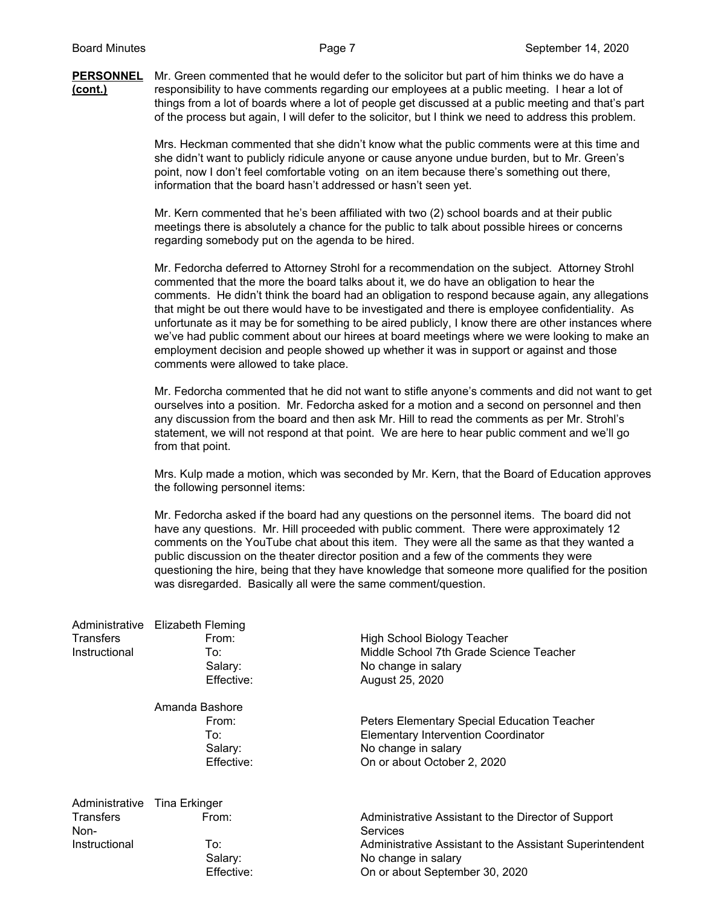#### **PERSONNEL** Mr. Green commented that he would defer to the solicitor but part of him thinks we do have a **(cont.)** responsibility to have comments regarding our employees at a public meeting. I hear a lot of things from a lot of boards where a lot of people get discussed at a public meeting and that's part of the process but again, I will defer to the solicitor, but I think we need to address this problem.

Mrs. Heckman commented that she didn't know what the public comments were at this time and she didn't want to publicly ridicule anyone or cause anyone undue burden, but to Mr. Green's point, now I don't feel comfortable voting on an item because there's something out there, information that the board hasn't addressed or hasn't seen yet.

Mr. Kern commented that he's been affiliated with two (2) school boards and at their public meetings there is absolutely a chance for the public to talk about possible hirees or concerns regarding somebody put on the agenda to be hired.

Mr. Fedorcha deferred to Attorney Strohl for a recommendation on the subject. Attorney Strohl commented that the more the board talks about it, we do have an obligation to hear the comments. He didn't think the board had an obligation to respond because again, any allegations that might be out there would have to be investigated and there is employee confidentiality. As unfortunate as it may be for something to be aired publicly, I know there are other instances where we've had public comment about our hirees at board meetings where we were looking to make an employment decision and people showed up whether it was in support or against and those comments were allowed to take place.

Mr. Fedorcha commented that he did not want to stifle anyone's comments and did not want to get ourselves into a position. Mr. Fedorcha asked for a motion and a second on personnel and then any discussion from the board and then ask Mr. Hill to read the comments as per Mr. Strohl's statement, we will not respond at that point. We are here to hear public comment and we'll go from that point.

Mrs. Kulp made a motion, which was seconded by Mr. Kern, that the Board of Education approves the following personnel items:

Mr. Fedorcha asked if the board had any questions on the personnel items. The board did not have any questions. Mr. Hill proceeded with public comment. There were approximately 12 comments on the YouTube chat about this item. They were all the same as that they wanted a public discussion on the theater director position and a few of the comments they were questioning the hire, being that they have knowledge that someone more qualified for the position was disregarded. Basically all were the same comment/question.

| Transfers<br>Instructional | Administrative Elizabeth Fleming<br>From:<br>To:<br>Salary:<br>Effective: | <b>High School Biology Teacher</b><br>Middle School 7th Grade Science Teacher<br>No change in salary<br>August 25, 2020 |
|----------------------------|---------------------------------------------------------------------------|-------------------------------------------------------------------------------------------------------------------------|
|                            | Amanda Bashore                                                            |                                                                                                                         |
|                            | From:                                                                     | Peters Elementary Special Education Teacher                                                                             |
|                            | To:                                                                       | <b>Elementary Intervention Coordinator</b>                                                                              |
|                            | Salary:                                                                   | No change in salary                                                                                                     |
|                            | Effective:                                                                | On or about October 2, 2020                                                                                             |
| Administrative             | Tina Erkinger                                                             |                                                                                                                         |
| <b>Transfers</b><br>Non-   | From:                                                                     | Administrative Assistant to the Director of Support<br>Services                                                         |
| Instructional              | To:                                                                       | Administrative Assistant to the Assistant Superintendent                                                                |
|                            | Salary:                                                                   | No change in salary                                                                                                     |
|                            | Effective:                                                                | On or about September 30, 2020                                                                                          |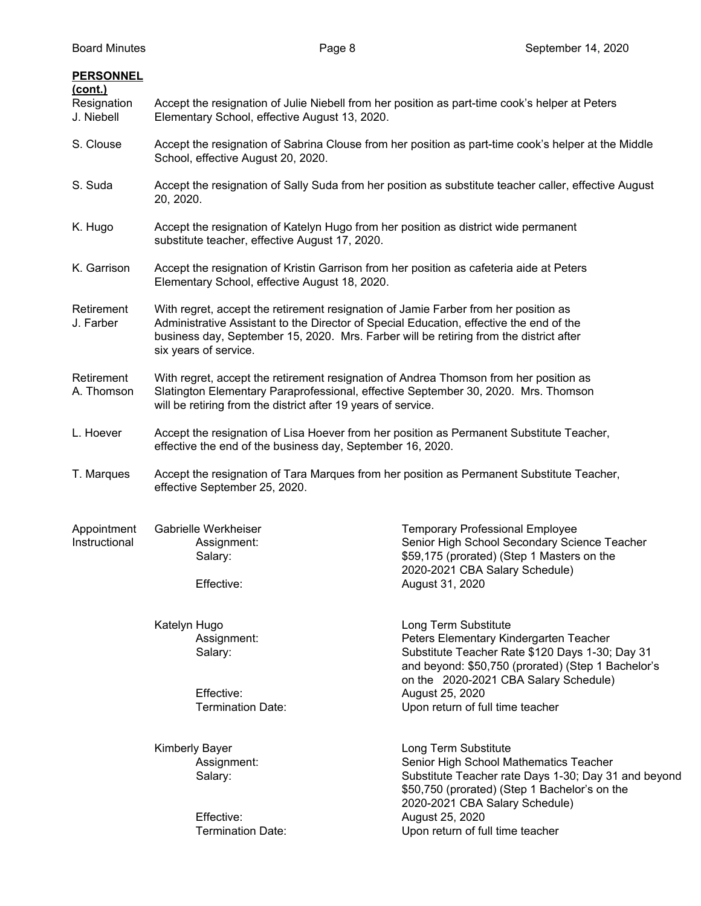| <b>PERSONNEL</b><br><u>(cont.)</u><br>Resignation<br>J. Niebell | Accept the resignation of Julie Niebell from her position as part-time cook's helper at Peters<br>Elementary School, effective August 13, 2020.                                                                                                                                                   |                                                                                                                                                                                                                                     |
|-----------------------------------------------------------------|---------------------------------------------------------------------------------------------------------------------------------------------------------------------------------------------------------------------------------------------------------------------------------------------------|-------------------------------------------------------------------------------------------------------------------------------------------------------------------------------------------------------------------------------------|
| S. Clouse                                                       | School, effective August 20, 2020.                                                                                                                                                                                                                                                                | Accept the resignation of Sabrina Clouse from her position as part-time cook's helper at the Middle                                                                                                                                 |
| S. Suda                                                         | 20, 2020.                                                                                                                                                                                                                                                                                         | Accept the resignation of Sally Suda from her position as substitute teacher caller, effective August                                                                                                                               |
| K. Hugo                                                         | Accept the resignation of Katelyn Hugo from her position as district wide permanent<br>substitute teacher, effective August 17, 2020.                                                                                                                                                             |                                                                                                                                                                                                                                     |
| K. Garrison                                                     | Accept the resignation of Kristin Garrison from her position as cafeteria aide at Peters<br>Elementary School, effective August 18, 2020.                                                                                                                                                         |                                                                                                                                                                                                                                     |
| Retirement<br>J. Farber                                         | With regret, accept the retirement resignation of Jamie Farber from her position as<br>Administrative Assistant to the Director of Special Education, effective the end of the<br>business day, September 15, 2020. Mrs. Farber will be retiring from the district after<br>six years of service. |                                                                                                                                                                                                                                     |
| Retirement<br>A. Thomson                                        | With regret, accept the retirement resignation of Andrea Thomson from her position as<br>Slatington Elementary Paraprofessional, effective September 30, 2020. Mrs. Thomson<br>will be retiring from the district after 19 years of service.                                                      |                                                                                                                                                                                                                                     |
| L. Hoever                                                       | Accept the resignation of Lisa Hoever from her position as Permanent Substitute Teacher,<br>effective the end of the business day, September 16, 2020.                                                                                                                                            |                                                                                                                                                                                                                                     |
| T. Marques                                                      | Accept the resignation of Tara Marques from her position as Permanent Substitute Teacher,<br>effective September 25, 2020.                                                                                                                                                                        |                                                                                                                                                                                                                                     |
| Appointment<br>Instructional                                    | Gabrielle Werkheiser<br>Assignment:<br>Salary:<br>Effective:                                                                                                                                                                                                                                      | <b>Temporary Professional Employee</b><br>Senior High School Secondary Science Teacher<br>\$59,175 (prorated) (Step 1 Masters on the<br>2020-2021 CBA Salary Schedule)<br>August 31, 2020                                           |
|                                                                 | Katelyn Hugo<br>Assignment:<br>Salary:<br>Effective:                                                                                                                                                                                                                                              | Long Term Substitute<br>Peters Elementary Kindergarten Teacher<br>Substitute Teacher Rate \$120 Days 1-30; Day 31<br>and beyond: \$50,750 (prorated) (Step 1 Bachelor's<br>on the 2020-2021 CBA Salary Schedule)<br>August 25, 2020 |
|                                                                 | <b>Termination Date:</b>                                                                                                                                                                                                                                                                          | Upon return of full time teacher                                                                                                                                                                                                    |
|                                                                 | <b>Kimberly Bayer</b><br>Assignment:<br>Salary:<br>Effective:                                                                                                                                                                                                                                     | Long Term Substitute<br>Senior High School Mathematics Teacher<br>Substitute Teacher rate Days 1-30; Day 31 and beyond<br>\$50,750 (prorated) (Step 1 Bachelor's on the<br>2020-2021 CBA Salary Schedule)                           |
|                                                                 | <b>Termination Date:</b>                                                                                                                                                                                                                                                                          | August 25, 2020<br>Upon return of full time teacher                                                                                                                                                                                 |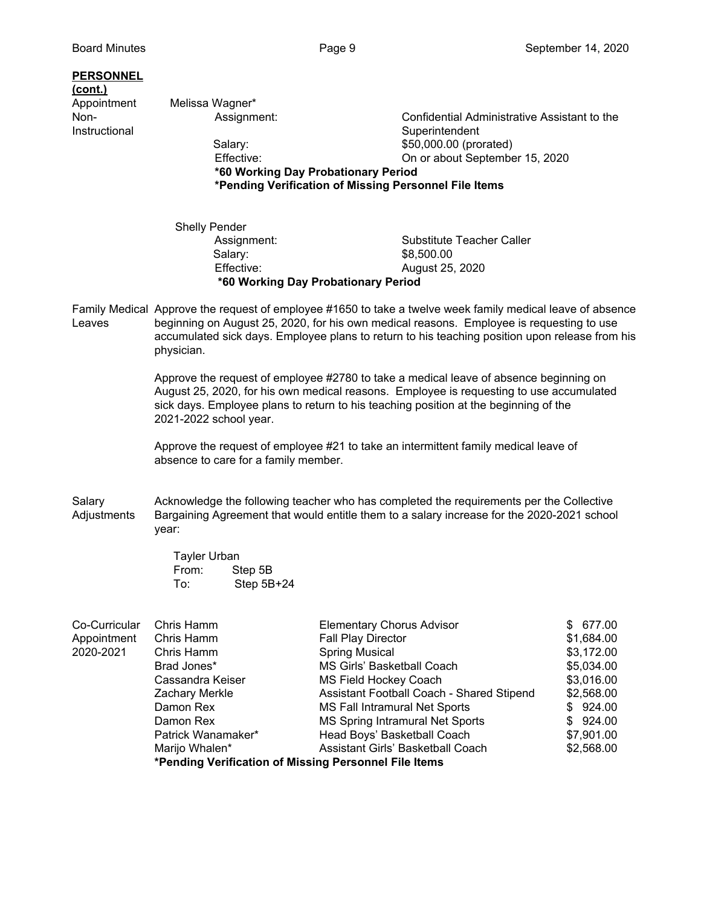### **PERSONNEL**

# **(cont.)** Appointment Melissa Wagner\*

**Instructional** Superintendent Superintendent

Non- **Assignment:** Confidential Administrative Assistant to the Salary: \$50,000.00 (prorated) Effective: On or about September 15, 2020

**\*60 Working Day Probationary Period \*Pending Verification of Missing Personnel File Items**

- Shelly Pender Assignment: Substitute Teacher Caller Salary: \$8,500.00 Effective: August 25, 2020 **\*60 Working Day Probationary Period**
- Family Medical Approve the request of employee #1650 to take a twelve week family medical leave of absence Leaves beginning on August 25, 2020, for his own medical reasons. Employee is requesting to use accumulated sick days. Employee plans to return to his teaching position upon release from his physician.

Approve the request of employee #2780 to take a medical leave of absence beginning on August 25, 2020, for his own medical reasons. Employee is requesting to use accumulated sick days. Employee plans to return to his teaching position at the beginning of the 2021-2022 school year.

Approve the request of employee #21 to take an intermittent family medical leave of absence to care for a family member.

Salary **Acknowledge the following teacher who has completed the requirements per the Collective** Adjustments Bargaining Agreement that would entitle them to a salary increase for the 2020-2021 school year:

> Tayler Urban From: Step 5B To: Step 5B+24

|               |                    | *Pending Verification of Missing Personnel File Items |            |
|---------------|--------------------|-------------------------------------------------------|------------|
|               | Marijo Whalen*     | Assistant Girls' Basketball Coach                     | \$2,568.00 |
|               | Patrick Wanamaker* | Head Boys' Basketball Coach                           | \$7,901.00 |
|               | Damon Rex          | MS Spring Intramural Net Sports                       | \$924.00   |
|               | Damon Rex          | MS Fall Intramural Net Sports                         | \$924.00   |
|               | Zachary Merkle     | Assistant Football Coach - Shared Stipend             | \$2,568.00 |
|               | Cassandra Keiser   | MS Field Hockey Coach                                 | \$3,016.00 |
|               | Brad Jones*        | MS Girls' Basketball Coach                            | \$5,034.00 |
| 2020-2021     | Chris Hamm         | <b>Spring Musical</b>                                 | \$3,172.00 |
| Appointment   | Chris Hamm         | <b>Fall Play Director</b>                             | \$1,684.00 |
| Co-Curricular | Chris Hamm         | <b>Elementary Chorus Advisor</b>                      | \$677.00   |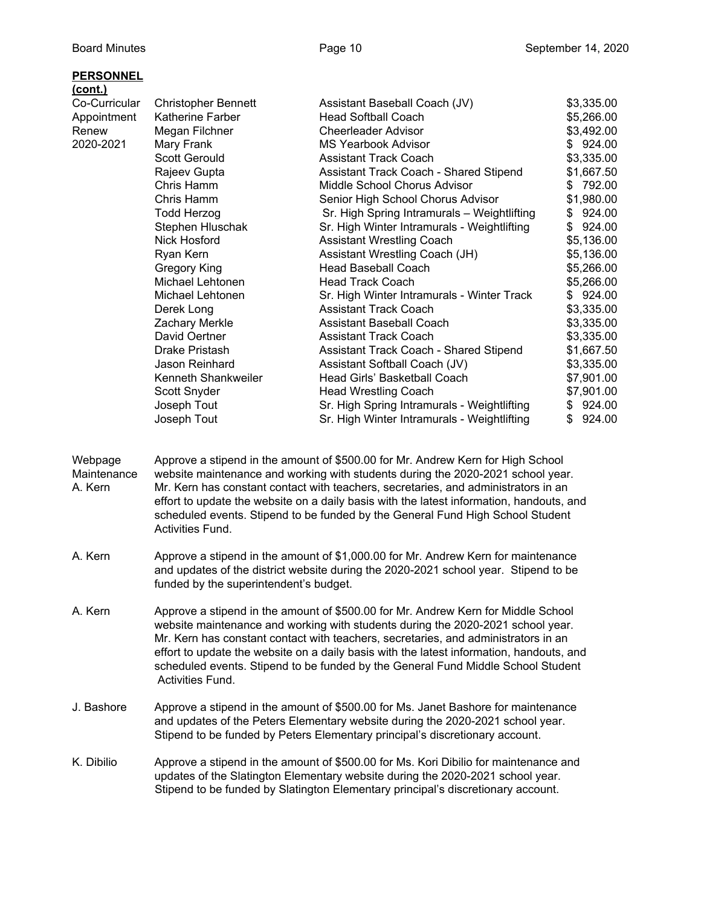| <b>PERSONNEL</b> |                            |                                             |              |
|------------------|----------------------------|---------------------------------------------|--------------|
| <u>(cont.)</u>   |                            |                                             |              |
| Co-Curricular    | <b>Christopher Bennett</b> | Assistant Baseball Coach (JV)               | \$3,335.00   |
| Appointment      | <b>Katherine Farber</b>    | Head Softball Coach                         | \$5,266.00   |
| Renew            | Megan Filchner             | Cheerleader Advisor                         | \$3,492.00   |
| 2020-2021        | Mary Frank                 | MS Yearbook Advisor                         | \$924.00     |
|                  | Scott Gerould              | <b>Assistant Track Coach</b>                | \$3,335.00   |
|                  | Rajeev Gupta               | Assistant Track Coach - Shared Stipend      | \$1,667.50   |
|                  | Chris Hamm                 | Middle School Chorus Advisor                | \$792.00     |
|                  | Chris Hamm                 | Senior High School Chorus Advisor           | \$1,980.00   |
|                  | Todd Herzog                | Sr. High Spring Intramurals - Weightlifting | \$924.00     |
|                  | Stephen Hluschak           | Sr. High Winter Intramurals - Weightlifting | 924.00<br>\$ |
|                  | Nick Hosford               | <b>Assistant Wrestling Coach</b>            | \$5,136.00   |
|                  | Ryan Kern                  | Assistant Wrestling Coach (JH)              | \$5,136.00   |
|                  | Gregory King               | <b>Head Baseball Coach</b>                  | \$5,266.00   |
|                  | Michael Lehtonen           | Head Track Coach                            | \$5,266.00   |
|                  | Michael Lehtonen           | Sr. High Winter Intramurals - Winter Track  | \$924.00     |
|                  | Derek Long                 | <b>Assistant Track Coach</b>                | \$3,335.00   |
|                  | Zachary Merkle             | Assistant Baseball Coach                    | \$3,335.00   |
|                  | David Oertner              | Assistant Track Coach                       | \$3,335.00   |
|                  | Drake Pristash             | Assistant Track Coach - Shared Stipend      | \$1,667.50   |

Jason Reinhard **Assistant Softball Coach (JV)** \$3,335.00 Kenneth Shankweiler **Head Girls' Basketball Coach** \$7,901.00 Scott Snyder **Head Wrestling Coach** \$7,901.00 Joseph Tout **Sr. High Spring Intramurals - Weightlifting** \$ 924.00 Joseph Tout **Sr. High Winter Intramurals - Weightlifting** \$ 924.00

Webpage Approve a stipend in the amount of \$500.00 for Mr. Andrew Kern for High School Maintenance website maintenance and working with students during the 2020-2021 school year. A. Kern Mr. Kern has constant contact with teachers, secretaries, and administrators in an effort to update the website on a daily basis with the latest information, handouts, and scheduled events. Stipend to be funded by the General Fund High School Student Activities Fund.

- A. Kern Approve a stipend in the amount of \$1,000.00 for Mr. Andrew Kern for maintenance and updates of the district website during the 2020-2021 school year. Stipend to be funded by the superintendent's budget.
- A. Kern Approve a stipend in the amount of \$500.00 for Mr. Andrew Kern for Middle School website maintenance and working with students during the 2020-2021 school year. Mr. Kern has constant contact with teachers, secretaries, and administrators in an effort to update the website on a daily basis with the latest information, handouts, and scheduled events. Stipend to be funded by the General Fund Middle School Student Activities Fund.
- J. Bashore Approve a stipend in the amount of \$500.00 for Ms. Janet Bashore for maintenance and updates of the Peters Elementary website during the 2020-2021 school year. Stipend to be funded by Peters Elementary principal's discretionary account.
- K. Dibilio Approve a stipend in the amount of \$500.00 for Ms. Kori Dibilio for maintenance and updates of the Slatington Elementary website during the 2020-2021 school year. Stipend to be funded by Slatington Elementary principal's discretionary account.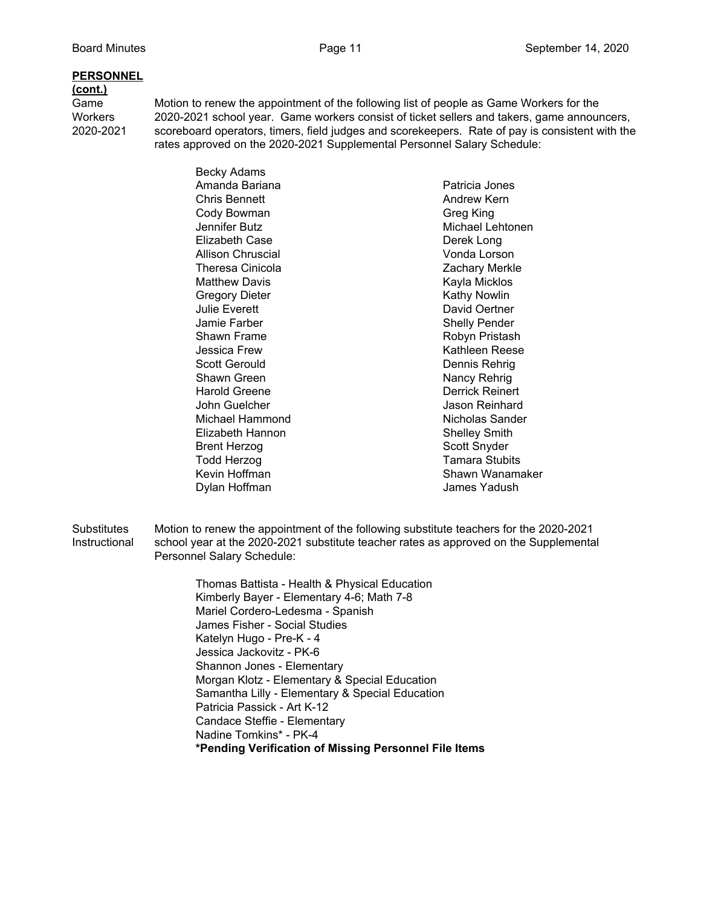#### **PERSONNEL**

#### **(cont.)**

Game Motion to renew the appointment of the following list of people as Game Workers for the Workers 2020-2021 school year. Game workers consist of ticket sellers and takers, game announcers, 2020-2021 scoreboard operators, timers, field judges and scorekeepers. Rate of pay is consistent with the rates approved on the 2020-2021 Supplemental Personnel Salary Schedule:

> Becky Adams Amanda Bariana **Patricia Jones** Chris Bennett **Andrew Kern** Cody Bowman Greg King Jennifer Butz **Michael Lehtonen** Elizabeth Case Derek Long Allison Chruscial **Allison** Chruscial Vonda Lorson Theresa Cinicola **Zachary Merkle** Matthew Davis **Kayla Micklos** Kayla Micklos Gregory Dieter **Kathy Nowlin** Julie Everett **David Oertner** Jamie Farber Shelly Pender Shawn Frame **Robyn Pristash** Jessica Frew The Communication of the Kathleen Reese Scott Gerould **Dennis Rehrig** Shawn Green Nancy Rehrig Harold Greene **Derrick Reinert** John Guelcher Jason Reinhard Michael Hammond **Nicholas Sander** Elizabeth Hannon **Shelley Smith** Brent Herzog Scott Snyder Todd Herzog Tamara Stubits Kevin Hoffman Shawn Wanamaker Dylan Hoffman James Yadush

Substitutes Motion to renew the appointment of the following substitute teachers for the 2020-2021 Instructional school year at the 2020-2021 substitute teacher rates as approved on the Supplemental Personnel Salary Schedule:

> Thomas Battista - Health & Physical Education Kimberly Bayer - Elementary 4-6; Math 7-8 Mariel Cordero-Ledesma - Spanish James Fisher - Social Studies Katelyn Hugo - Pre-K - 4 Jessica Jackovitz - PK-6 Shannon Jones - Elementary Morgan Klotz - Elementary & Special Education Samantha Lilly - Elementary & Special Education Patricia Passick - Art K-12 Candace Steffie - Elementary Nadine Tomkins\* - PK-4 **\*Pending Verification of Missing Personnel File Items**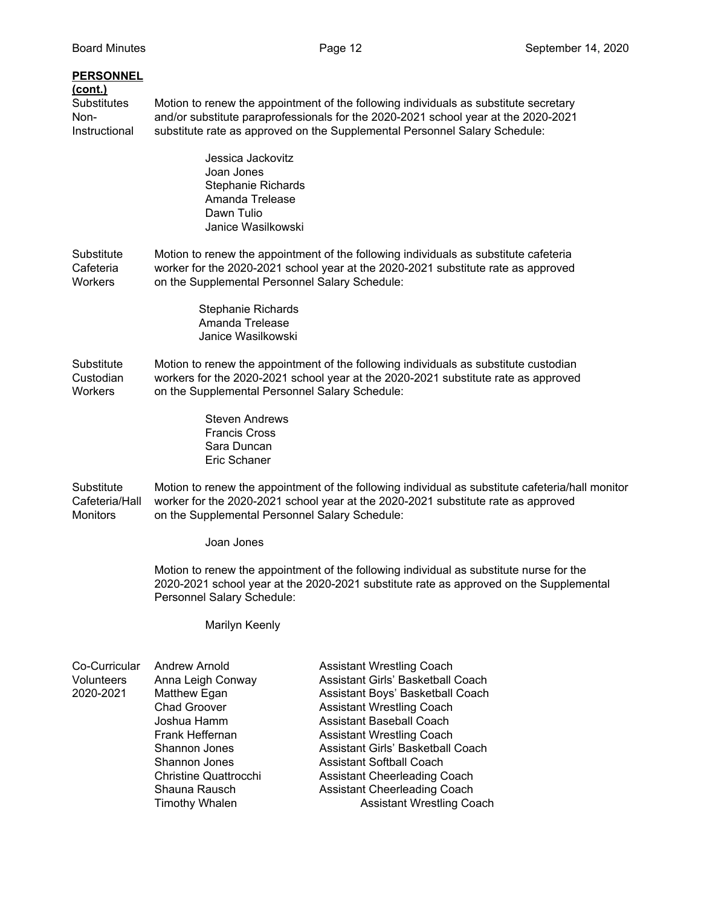### Board Minutes Page 12 September 14, 2020 **PERSONNEL (cont.)** Substitutes Motion to renew the appointment of the following individuals as substitute secretary Non- and/or substitute paraprofessionals for the 2020-2021 school year at the 2020-2021 Instructional substitute rate as approved on the Supplemental Personnel Salary Schedule: Jessica Jackovitz Joan Jones Stephanie Richards Amanda Trelease Dawn Tulio Janice Wasilkowski Substitute Motion to renew the appointment of the following individuals as substitute cafeteria Cafeteria worker for the 2020-2021 school year at the 2020-2021 substitute rate as approved Workers on the Supplemental Personnel Salary Schedule: Stephanie Richards Amanda Trelease Janice Wasilkowski Substitute Motion to renew the appointment of the following individuals as substitute custodian Custodian workers for the 2020-2021 school year at the 2020-2021 substitute rate as approved Workers on the Supplemental Personnel Salary Schedule: Steven Andrews Francis Cross Sara Duncan Eric Schaner Substitute Motion to renew the appointment of the following individual as substitute cafeteria/hall monitor Cafeteria/Hall worker for the 2020-2021 school year at the 2020-2021 substitute rate as approved Monitors on the Supplemental Personnel Salary Schedule: Joan Jones Motion to renew the appointment of the following individual as substitute nurse for the 2020-2021 school year at the 2020-2021 substitute rate as approved on the Supplemental Personnel Salary Schedule: Marilyn Keenly Co-Curricular Andrew Arnold **Assistant Wrestling Coach** Volunteers Anna Leigh Conway Assistant Girls' Basketball Coach

| /olunteers | Anna Leigh        |
|------------|-------------------|
| 020-2021   | Matthew Eg        |
|            | <b>Chad Groov</b> |
|            | Joshua Han        |
|            | Frank Heffe       |
|            | Shannon Jo        |
|            |                   |

2020-2021 Matthew Egan Assistant Boys' Basketball Coach er Assistant Wrestling Coach hm Assistant Baseball Coach Frank Heffernan Assistant Wrestling Coach nes **Assistant Girls' Basketball Coach** Shannon Jones **Assistant Softball Coach** Christine Quattrocchi Assistant Cheerleading Coach Shauna Rausch **Assistant Cheerleading Coach** Timothy Whalen **Assistant Wrestling Coach**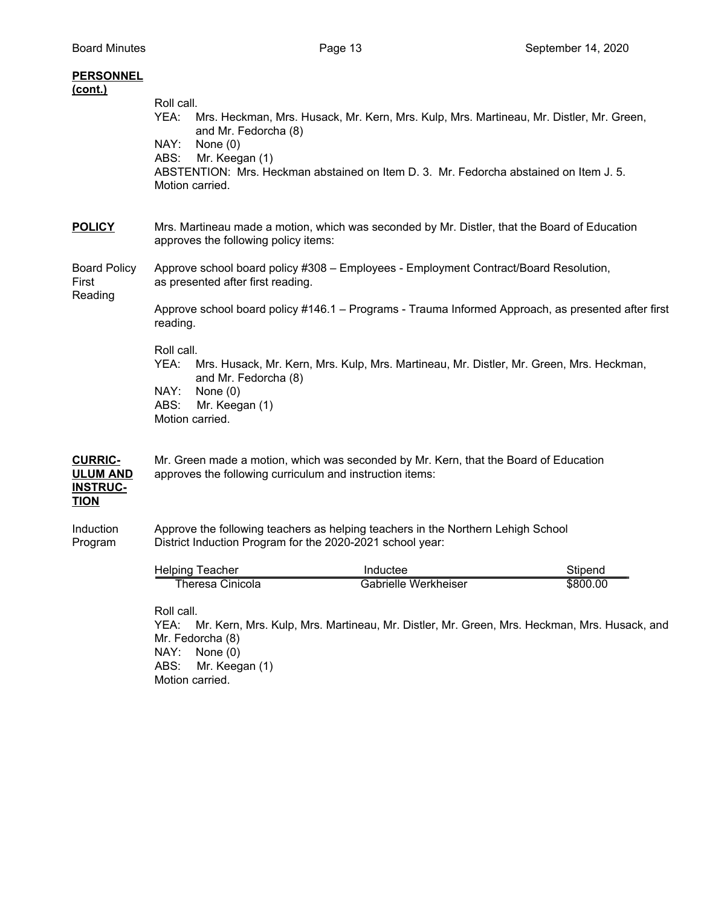| <b>PERSONNEL</b><br>(cont.)                                         |                                                                                                                                                                                                                                                                         |  |  |
|---------------------------------------------------------------------|-------------------------------------------------------------------------------------------------------------------------------------------------------------------------------------------------------------------------------------------------------------------------|--|--|
|                                                                     | Roll call.<br>YEA:<br>Mrs. Heckman, Mrs. Husack, Mr. Kern, Mrs. Kulp, Mrs. Martineau, Mr. Distler, Mr. Green,<br>and Mr. Fedorcha (8)                                                                                                                                   |  |  |
|                                                                     | NAY:<br>None $(0)$<br>ABS:<br>Mr. Keegan (1)<br>ABSTENTION: Mrs. Heckman abstained on Item D. 3. Mr. Fedorcha abstained on Item J. 5.<br>Motion carried.                                                                                                                |  |  |
| <b>POLICY</b>                                                       | Mrs. Martineau made a motion, which was seconded by Mr. Distler, that the Board of Education<br>approves the following policy items:                                                                                                                                    |  |  |
| <b>Board Policy</b><br>First<br>Reading                             | Approve school board policy #308 - Employees - Employment Contract/Board Resolution,<br>as presented after first reading.                                                                                                                                               |  |  |
|                                                                     | Approve school board policy #146.1 - Programs - Trauma Informed Approach, as presented after first<br>reading.                                                                                                                                                          |  |  |
|                                                                     | Roll call.<br>YEA:<br>Mrs. Husack, Mr. Kern, Mrs. Kulp, Mrs. Martineau, Mr. Distler, Mr. Green, Mrs. Heckman,<br>and Mr. Fedorcha (8)<br>NAY:<br>None $(0)$<br>ABS:<br>Mr. Keegan (1)<br>Motion carried.                                                                |  |  |
| <b>CURRIC-</b><br><b>ULUM AND</b><br><b>INSTRUC-</b><br><b>TION</b> | Mr. Green made a motion, which was seconded by Mr. Kern, that the Board of Education<br>approves the following curriculum and instruction items:                                                                                                                        |  |  |
| Induction<br>Program                                                | Approve the following teachers as helping teachers in the Northern Lehigh School<br>District Induction Program for the 2020-2021 school year:                                                                                                                           |  |  |
|                                                                     | <b>Helping Teacher</b><br>Stipend<br>Inductee                                                                                                                                                                                                                           |  |  |
|                                                                     | \$800.00<br><b>Theresa Cinicola</b><br>Gabrielle Werkheiser<br>Roll call.<br>YEA:<br>Mr. Kern, Mrs. Kulp, Mrs. Martineau, Mr. Distler, Mr. Green, Mrs. Heckman, Mrs. Husack, and<br>Mr. Fedorcha (8)<br>NAY:<br>None $(0)$<br>ABS:<br>Mr. Keegan (1)<br>Motion carried. |  |  |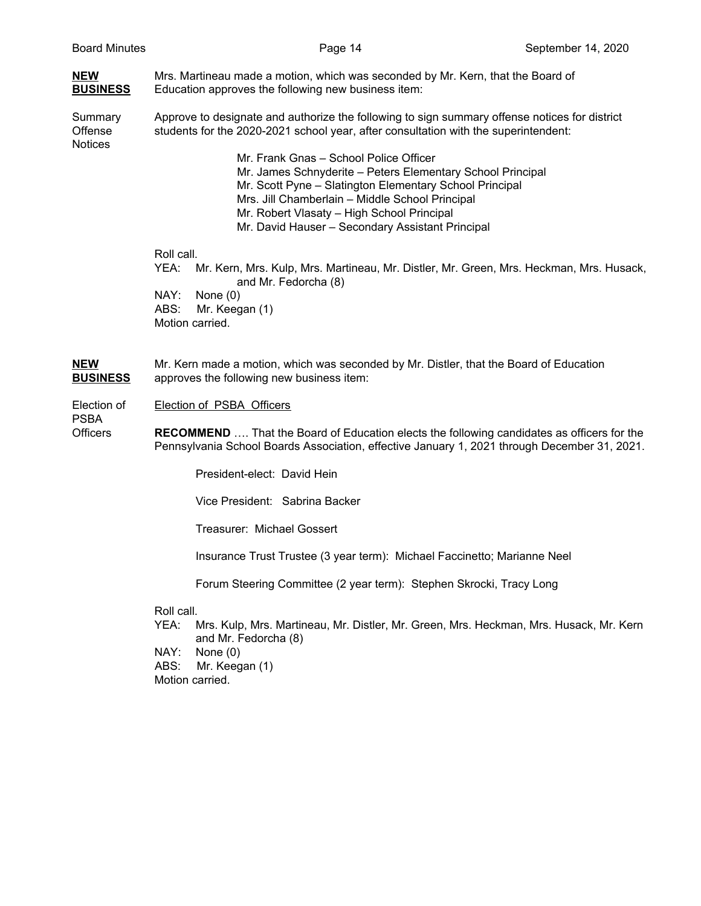| <b>NEW</b><br><b>BUSINESS</b>        | Mrs. Martineau made a motion, which was seconded by Mr. Kern, that the Board of<br>Education approves the following new business item:                                               |  |
|--------------------------------------|--------------------------------------------------------------------------------------------------------------------------------------------------------------------------------------|--|
| Summary<br>Offense<br><b>Notices</b> | Approve to designate and authorize the following to sign summary offense notices for district<br>students for the 2020-2021 school year, after consultation with the superintendent: |  |
|                                      | Mr. Frank Gnas – School Police Officer                                                                                                                                               |  |
|                                      | Mr. James Schnyderite - Peters Elementary School Principal                                                                                                                           |  |
|                                      | Mr. Scott Pyne - Slatington Elementary School Principal                                                                                                                              |  |
|                                      | Mrs. Jill Chamberlain - Middle School Principal                                                                                                                                      |  |
|                                      | Mr. Robert Vlasaty - High School Principal                                                                                                                                           |  |
|                                      | Mr. David Hauser - Secondary Assistant Principal                                                                                                                                     |  |
|                                      | Roll call.                                                                                                                                                                           |  |
|                                      | Mr. Kern, Mrs. Kulp, Mrs. Martineau, Mr. Distler, Mr. Green, Mrs. Heckman, Mrs. Husack,<br>YEA: I<br>and Mr. Fedorcha (8)                                                            |  |
|                                      | NAY:<br>None $(0)$                                                                                                                                                                   |  |
|                                      | ABS:<br>Mr. Keegan (1)                                                                                                                                                               |  |
|                                      | Motion carried.                                                                                                                                                                      |  |

**NEW** Mr. Kern made a motion, which was seconded by Mr. Distler, that the Board of Education **BUSINESS** approves the following new business item:

Election of Election of PSBA Officers

PSBA

Officers **RECOMMEND** …. That the Board of Education elects the following candidates as officers for the Pennsylvania School Boards Association, effective January 1, 2021 through December 31, 2021.

President-elect: David Hein

Vice President: Sabrina Backer

Treasurer: Michael Gossert

Insurance Trust Trustee (3 year term): Michael Faccinetto; Marianne Neel

Forum Steering Committee (2 year term): Stephen Skrocki, Tracy Long

#### Roll call.

YEA: Mrs. Kulp, Mrs. Martineau, Mr. Distler, Mr. Green, Mrs. Heckman, Mrs. Husack, Mr. Kern and Mr. Fedorcha (8)

NAY: None (0)

ABS: Mr. Keegan (1)

Motion carried.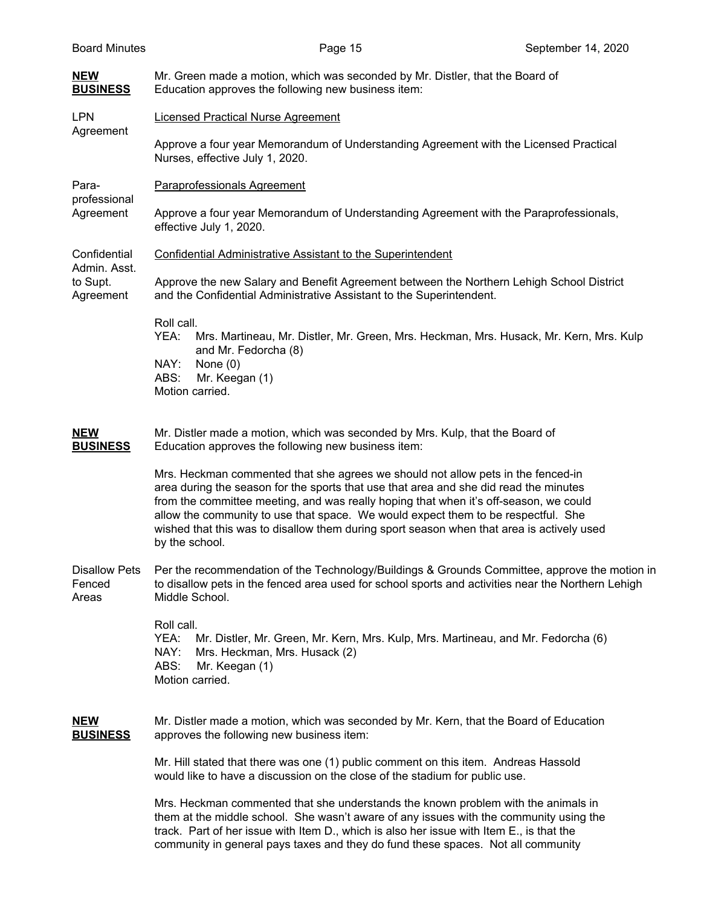| <b>Board Minutes</b>                    | Page 15                                                                                                                                                                                                                                                                                                                                                                                                                                                                | September 14, 2020 |  |
|-----------------------------------------|------------------------------------------------------------------------------------------------------------------------------------------------------------------------------------------------------------------------------------------------------------------------------------------------------------------------------------------------------------------------------------------------------------------------------------------------------------------------|--------------------|--|
| <b>NEW</b><br><b>BUSINESS</b>           | Mr. Green made a motion, which was seconded by Mr. Distler, that the Board of<br>Education approves the following new business item:                                                                                                                                                                                                                                                                                                                                   |                    |  |
| <b>LPN</b><br>Agreement                 | <b>Licensed Practical Nurse Agreement</b>                                                                                                                                                                                                                                                                                                                                                                                                                              |                    |  |
|                                         | Approve a four year Memorandum of Understanding Agreement with the Licensed Practical<br>Nurses, effective July 1, 2020.                                                                                                                                                                                                                                                                                                                                               |                    |  |
| Para-<br>professional                   | Paraprofessionals Agreement                                                                                                                                                                                                                                                                                                                                                                                                                                            |                    |  |
| Agreement                               | Approve a four year Memorandum of Understanding Agreement with the Paraprofessionals,<br>effective July 1, 2020.                                                                                                                                                                                                                                                                                                                                                       |                    |  |
| Confidential<br>Admin. Asst.            | <b>Confidential Administrative Assistant to the Superintendent</b>                                                                                                                                                                                                                                                                                                                                                                                                     |                    |  |
| to Supt.<br>Agreement                   | Approve the new Salary and Benefit Agreement between the Northern Lehigh School District<br>and the Confidential Administrative Assistant to the Superintendent.                                                                                                                                                                                                                                                                                                       |                    |  |
|                                         | Roll call.<br>Mrs. Martineau, Mr. Distler, Mr. Green, Mrs. Heckman, Mrs. Husack, Mr. Kern, Mrs. Kulp<br>YEA:<br>and Mr. Fedorcha (8)<br>NAY:<br>None $(0)$<br>ABS:<br>Mr. Keegan (1)<br>Motion carried.                                                                                                                                                                                                                                                                |                    |  |
| <b>NEW</b><br><b>BUSINESS</b>           | Mr. Distler made a motion, which was seconded by Mrs. Kulp, that the Board of<br>Education approves the following new business item:                                                                                                                                                                                                                                                                                                                                   |                    |  |
|                                         | Mrs. Heckman commented that she agrees we should not allow pets in the fenced-in<br>area during the season for the sports that use that area and she did read the minutes<br>from the committee meeting, and was really hoping that when it's off-season, we could<br>allow the community to use that space. We would expect them to be respectful. She<br>wished that this was to disallow them during sport season when that area is actively used<br>by the school. |                    |  |
| <b>Disallow Pets</b><br>Fenced<br>Areas | Per the recommendation of the Technology/Buildings & Grounds Committee, approve the motion in<br>to disallow pets in the fenced area used for school sports and activities near the Northern Lehigh<br>Middle School.                                                                                                                                                                                                                                                  |                    |  |
|                                         | Roll call.<br>YEA:<br>Mr. Distler, Mr. Green, Mr. Kern, Mrs. Kulp, Mrs. Martineau, and Mr. Fedorcha (6)<br>NAY:<br>Mrs. Heckman, Mrs. Husack (2)<br>ABS:<br>Mr. Keegan (1)<br>Motion carried.                                                                                                                                                                                                                                                                          |                    |  |
| <b>NEW</b><br><b>BUSINESS</b>           | Mr. Distler made a motion, which was seconded by Mr. Kern, that the Board of Education<br>approves the following new business item:                                                                                                                                                                                                                                                                                                                                    |                    |  |
|                                         | Mr. Hill stated that there was one (1) public comment on this item. Andreas Hassold<br>would like to have a discussion on the close of the stadium for public use.                                                                                                                                                                                                                                                                                                     |                    |  |
|                                         | Mrs. Heckman commented that she understands the known problem with the animals in<br>them at the middle school. She wasn't aware of any issues with the community using the<br>track. Part of her issue with Item D., which is also her issue with Item E., is that the<br>community in general pays taxes and they do fund these spaces. Not all community                                                                                                            |                    |  |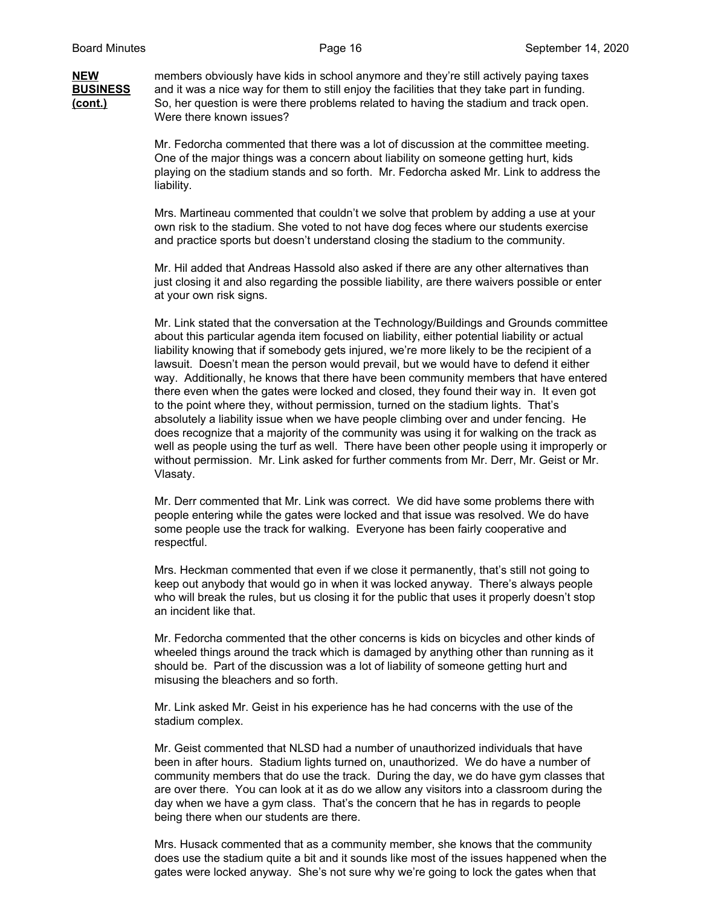#### **NEW** members obviously have kids in school anymore and they're still actively paying taxes **BUSINESS** and it was a nice way for them to still enjoy the facilities that they take part in funding. **(cont.)** So, her question is were there problems related to having the stadium and track open. Were there known issues?

Mr. Fedorcha commented that there was a lot of discussion at the committee meeting. One of the major things was a concern about liability on someone getting hurt, kids playing on the stadium stands and so forth. Mr. Fedorcha asked Mr. Link to address the liability.

Mrs. Martineau commented that couldn't we solve that problem by adding a use at your own risk to the stadium. She voted to not have dog feces where our students exercise and practice sports but doesn't understand closing the stadium to the community.

Mr. Hil added that Andreas Hassold also asked if there are any other alternatives than just closing it and also regarding the possible liability, are there waivers possible or enter at your own risk signs.

Mr. Link stated that the conversation at the Technology/Buildings and Grounds committee about this particular agenda item focused on liability, either potential liability or actual liability knowing that if somebody gets injured, we're more likely to be the recipient of a lawsuit. Doesn't mean the person would prevail, but we would have to defend it either way. Additionally, he knows that there have been community members that have entered there even when the gates were locked and closed, they found their way in. It even got to the point where they, without permission, turned on the stadium lights. That's absolutely a liability issue when we have people climbing over and under fencing. He does recognize that a majority of the community was using it for walking on the track as well as people using the turf as well. There have been other people using it improperly or without permission. Mr. Link asked for further comments from Mr. Derr, Mr. Geist or Mr. Vlasaty.

Mr. Derr commented that Mr. Link was correct. We did have some problems there with people entering while the gates were locked and that issue was resolved. We do have some people use the track for walking. Everyone has been fairly cooperative and respectful.

Mrs. Heckman commented that even if we close it permanently, that's still not going to keep out anybody that would go in when it was locked anyway. There's always people who will break the rules, but us closing it for the public that uses it properly doesn't stop an incident like that.

Mr. Fedorcha commented that the other concerns is kids on bicycles and other kinds of wheeled things around the track which is damaged by anything other than running as it should be. Part of the discussion was a lot of liability of someone getting hurt and misusing the bleachers and so forth.

Mr. Link asked Mr. Geist in his experience has he had concerns with the use of the stadium complex.

Mr. Geist commented that NLSD had a number of unauthorized individuals that have been in after hours. Stadium lights turned on, unauthorized. We do have a number of community members that do use the track. During the day, we do have gym classes that are over there. You can look at it as do we allow any visitors into a classroom during the day when we have a gym class. That's the concern that he has in regards to people being there when our students are there.

Mrs. Husack commented that as a community member, she knows that the community does use the stadium quite a bit and it sounds like most of the issues happened when the gates were locked anyway. She's not sure why we're going to lock the gates when that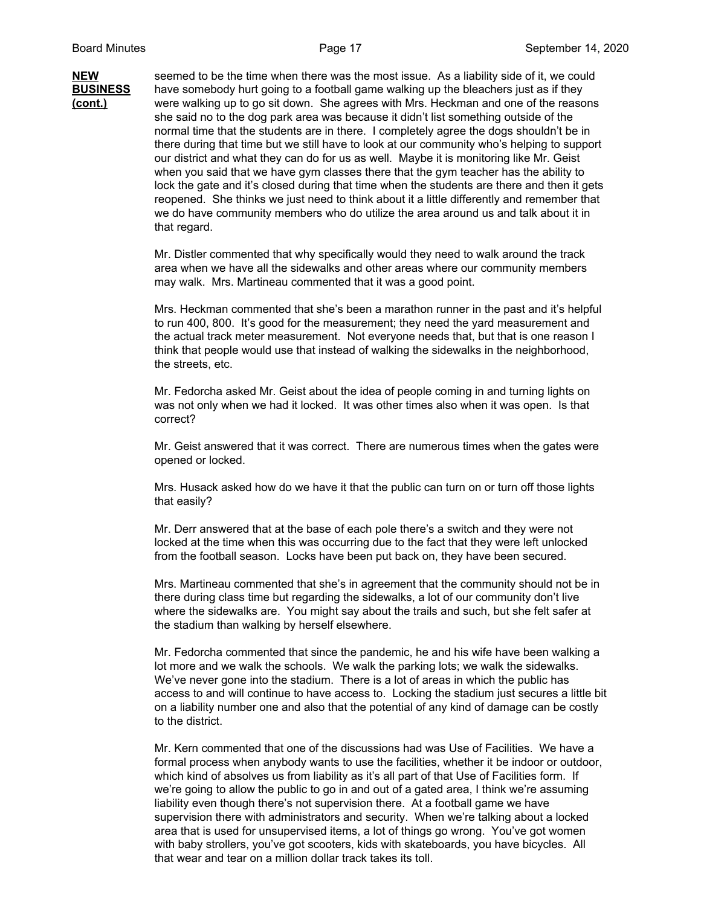**NEW** seemed to be the time when there was the most issue. As a liability side of it, we could **BUSINESS** have somebody hurt going to a football game walking up the bleachers just as if they **(cont.)** were walking up to go sit down. She agrees with Mrs. Heckman and one of the reasons she said no to the dog park area was because it didn't list something outside of the normal time that the students are in there. I completely agree the dogs shouldn't be in there during that time but we still have to look at our community who's helping to support our district and what they can do for us as well. Maybe it is monitoring like Mr. Geist when you said that we have gym classes there that the gym teacher has the ability to lock the gate and it's closed during that time when the students are there and then it gets reopened. She thinks we just need to think about it a little differently and remember that we do have community members who do utilize the area around us and talk about it in that regard.

> Mr. Distler commented that why specifically would they need to walk around the track area when we have all the sidewalks and other areas where our community members may walk. Mrs. Martineau commented that it was a good point.

Mrs. Heckman commented that she's been a marathon runner in the past and it's helpful to run 400, 800. It's good for the measurement; they need the yard measurement and the actual track meter measurement. Not everyone needs that, but that is one reason I think that people would use that instead of walking the sidewalks in the neighborhood, the streets, etc.

Mr. Fedorcha asked Mr. Geist about the idea of people coming in and turning lights on was not only when we had it locked. It was other times also when it was open. Is that correct?

Mr. Geist answered that it was correct. There are numerous times when the gates were opened or locked.

Mrs. Husack asked how do we have it that the public can turn on or turn off those lights that easily?

Mr. Derr answered that at the base of each pole there's a switch and they were not locked at the time when this was occurring due to the fact that they were left unlocked from the football season. Locks have been put back on, they have been secured.

Mrs. Martineau commented that she's in agreement that the community should not be in there during class time but regarding the sidewalks, a lot of our community don't live where the sidewalks are. You might say about the trails and such, but she felt safer at the stadium than walking by herself elsewhere.

Mr. Fedorcha commented that since the pandemic, he and his wife have been walking a lot more and we walk the schools. We walk the parking lots; we walk the sidewalks. We've never gone into the stadium. There is a lot of areas in which the public has access to and will continue to have access to. Locking the stadium just secures a little bit on a liability number one and also that the potential of any kind of damage can be costly to the district.

Mr. Kern commented that one of the discussions had was Use of Facilities. We have a formal process when anybody wants to use the facilities, whether it be indoor or outdoor, which kind of absolves us from liability as it's all part of that Use of Facilities form. If we're going to allow the public to go in and out of a gated area, I think we're assuming liability even though there's not supervision there. At a football game we have supervision there with administrators and security. When we're talking about a locked area that is used for unsupervised items, a lot of things go wrong. You've got women with baby strollers, you've got scooters, kids with skateboards, you have bicycles. All that wear and tear on a million dollar track takes its toll.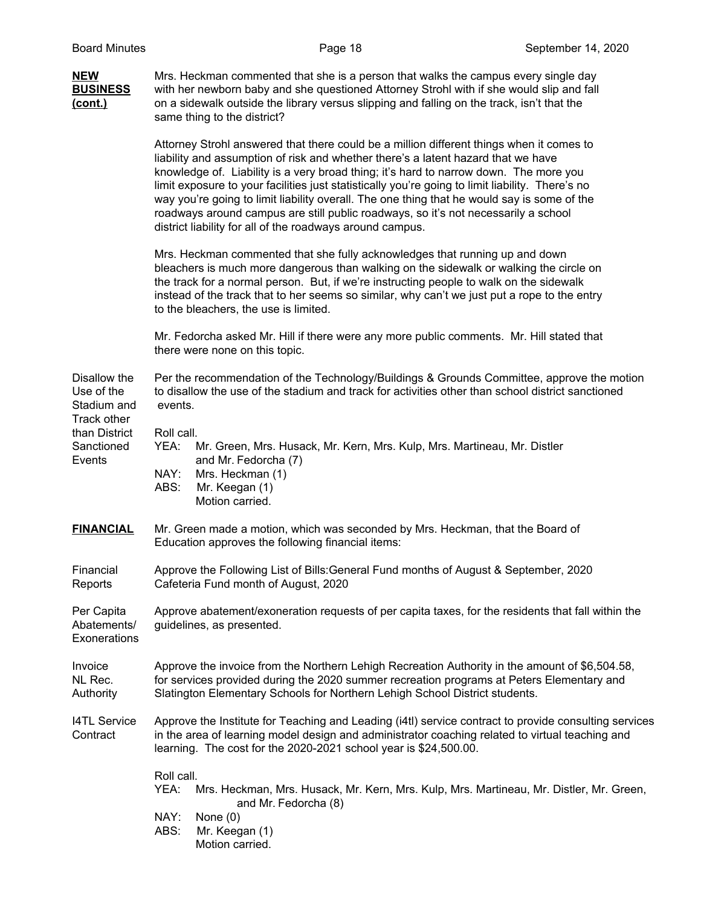| <b>NEW</b><br><b>BUSINESS</b><br>(cont.)             | Mrs. Heckman commented that she is a person that walks the campus every single day<br>with her newborn baby and she questioned Attorney Strohl with if she would slip and fall<br>on a sidewalk outside the library versus slipping and falling on the track, isn't that the<br>same thing to the district?                                                                                                                                                                                                                                                                                                                  |  |  |
|------------------------------------------------------|------------------------------------------------------------------------------------------------------------------------------------------------------------------------------------------------------------------------------------------------------------------------------------------------------------------------------------------------------------------------------------------------------------------------------------------------------------------------------------------------------------------------------------------------------------------------------------------------------------------------------|--|--|
|                                                      | Attorney Strohl answered that there could be a million different things when it comes to<br>liability and assumption of risk and whether there's a latent hazard that we have<br>knowledge of. Liability is a very broad thing; it's hard to narrow down. The more you<br>limit exposure to your facilities just statistically you're going to limit liability. There's no<br>way you're going to limit liability overall. The one thing that he would say is some of the<br>roadways around campus are still public roadways, so it's not necessarily a school<br>district liability for all of the roadways around campus. |  |  |
|                                                      | Mrs. Heckman commented that she fully acknowledges that running up and down<br>bleachers is much more dangerous than walking on the sidewalk or walking the circle on<br>the track for a normal person. But, if we're instructing people to walk on the sidewalk<br>instead of the track that to her seems so similar, why can't we just put a rope to the entry<br>to the bleachers, the use is limited.                                                                                                                                                                                                                    |  |  |
|                                                      | Mr. Fedorcha asked Mr. Hill if there were any more public comments. Mr. Hill stated that<br>there were none on this topic.                                                                                                                                                                                                                                                                                                                                                                                                                                                                                                   |  |  |
| Disallow the<br>Use of the<br>Stadium and            | Per the recommendation of the Technology/Buildings & Grounds Committee, approve the motion<br>to disallow the use of the stadium and track for activities other than school district sanctioned<br>events.                                                                                                                                                                                                                                                                                                                                                                                                                   |  |  |
| Track other<br>than District<br>Sanctioned<br>Events | Roll call.<br>YEA:<br>Mr. Green, Mrs. Husack, Mr. Kern, Mrs. Kulp, Mrs. Martineau, Mr. Distler<br>and Mr. Fedorcha (7)<br>NAY:<br>Mrs. Heckman (1)<br>ABS:<br>Mr. Keegan (1)<br>Motion carried.                                                                                                                                                                                                                                                                                                                                                                                                                              |  |  |
| <b>FINANCIAL</b>                                     | Mr. Green made a motion, which was seconded by Mrs. Heckman, that the Board of<br>Education approves the following financial items:                                                                                                                                                                                                                                                                                                                                                                                                                                                                                          |  |  |
| Financial<br>Reports                                 | Approve the Following List of Bills: General Fund months of August & September, 2020<br>Cafeteria Fund month of August, 2020                                                                                                                                                                                                                                                                                                                                                                                                                                                                                                 |  |  |
| Per Capita<br>Abatements/<br>Exonerations            | Approve abatement/exoneration requests of per capita taxes, for the residents that fall within the<br>guidelines, as presented.                                                                                                                                                                                                                                                                                                                                                                                                                                                                                              |  |  |
| Invoice<br>NL Rec.<br>Authority                      | Approve the invoice from the Northern Lehigh Recreation Authority in the amount of \$6,504.58,<br>for services provided during the 2020 summer recreation programs at Peters Elementary and<br>Slatington Elementary Schools for Northern Lehigh School District students.                                                                                                                                                                                                                                                                                                                                                   |  |  |
| <b>I4TL Service</b><br>Contract                      | Approve the Institute for Teaching and Leading (i4tl) service contract to provide consulting services<br>in the area of learning model design and administrator coaching related to virtual teaching and<br>learning. The cost for the 2020-2021 school year is \$24,500.00.                                                                                                                                                                                                                                                                                                                                                 |  |  |
|                                                      | Roll call.<br>YEA:<br>Mrs. Heckman, Mrs. Husack, Mr. Kern, Mrs. Kulp, Mrs. Martineau, Mr. Distler, Mr. Green,<br>and Mr. Fedorcha (8)<br>NAY:<br>None $(0)$<br>ABS:<br>Mr. Keegan (1)<br>Motion carried.                                                                                                                                                                                                                                                                                                                                                                                                                     |  |  |